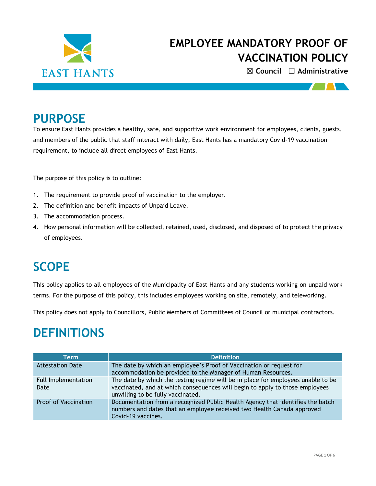

☒ **Council** ☐ **Administrative**

### **PURPOSE**

To ensure East Hants provides a healthy, safe, and supportive work environment for employees, clients, guests, and members of the public that staff interact with daily, East Hants has a mandatory Covid-19 vaccination requirement, to include all direct employees of East Hants.

The purpose of this policy is to outline:

- 1. The requirement to provide proof of vaccination to the employer.
- 2. The definition and benefit impacts of Unpaid Leave.
- 3. The accommodation process.
- 4. How personal information will be collected, retained, used, disclosed, and disposed of to protect the privacy of employees.

### **SCOPE**

This policy applies to all employees of the Municipality of East Hants and any students working on unpaid work terms. For the purpose of this policy, this includes employees working on site, remotely, and teleworking.

This policy does not apply to Councillors, Public Members of Committees of Council or municipal contractors.

### **DEFINITIONS**

| Term                        | <b>Definition</b>                                                                                                                                                                                     |  |  |
|-----------------------------|-------------------------------------------------------------------------------------------------------------------------------------------------------------------------------------------------------|--|--|
| <b>Attestation Date</b>     | The date by which an employee's Proof of Vaccination or request for<br>accommodation be provided to the Manager of Human Resources.                                                                   |  |  |
| Full Implementation<br>Date | The date by which the testing regime will be in place for employees unable to be<br>vaccinated, and at which consequences will begin to apply to those employees<br>unwilling to be fully vaccinated. |  |  |
| <b>Proof of Vaccination</b> | Documentation from a recognized Public Health Agency that identifies the batch<br>numbers and dates that an employee received two Health Canada approved<br>Covid-19 vaccines.                        |  |  |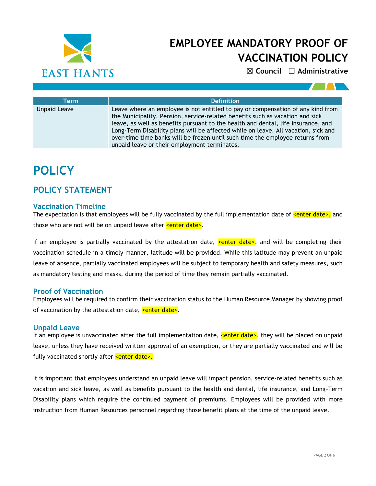

☒ **Council** ☐ **Administrative**

| Term                | <b>Definition</b>                                                                                                                                                                                                                                                                                                                                                                                                                                                            |  |  |  |  |
|---------------------|------------------------------------------------------------------------------------------------------------------------------------------------------------------------------------------------------------------------------------------------------------------------------------------------------------------------------------------------------------------------------------------------------------------------------------------------------------------------------|--|--|--|--|
| <b>Unpaid Leave</b> | Leave where an employee is not entitled to pay or compensation of any kind from<br>the Municipality. Pension, service-related benefits such as vacation and sick<br>leave, as well as benefits pursuant to the health and dental, life insurance, and<br>Long-Term Disability plans will be affected while on leave. All vacation, sick and<br>over-time time banks will be frozen until such time the employee returns from<br>unpaid leave or their employment terminates. |  |  |  |  |

# **POLICY**

### **POLICY STATEMENT**

#### **Vaccination Timeline**

The expectation is that employees will be fully vaccinated by the full implementation date of  $\epsilon$ enter date>, and those who are not will be on unpaid leave after  $\leq$ enter date>.

If an employee is partially vaccinated by the attestation date, senter date>, and will be completing their vaccination schedule in a timely manner, latitude will be provided. While this latitude may prevent an unpaid leave of absence, partially vaccinated employees will be subject to temporary health and safety measures, such as mandatory testing and masks, during the period of time they remain partially vaccinated.

#### **Proof of Vaccination**

Employees will be required to confirm their vaccination status to the Human Resource Manager by showing proof of vaccination by the attestation date,  $\leq$  enter date>.

#### **Unpaid Leave**

If an employee is unvaccinated after the full implementation date, **<enter date>**, they will be placed on unpaid leave, unless they have received written approval of an exemption, or they are partially vaccinated and will be fully vaccinated shortly after **<enter date>.** 

It is important that employees understand an unpaid leave will impact pension, service-related benefits such as vacation and sick leave, as well as benefits pursuant to the health and dental, life insurance, and Long-Term Disability plans which require the continued payment of premiums. Employees will be provided with more instruction from Human Resources personnel regarding those benefit plans at the time of the unpaid leave.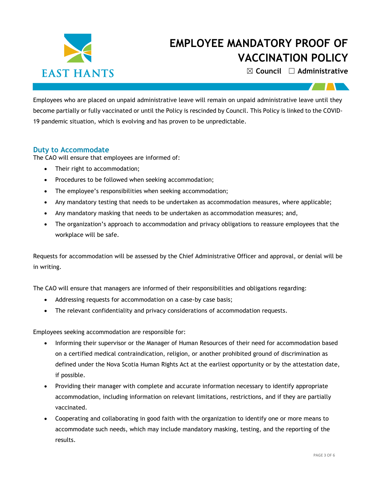

☒ **Council** ☐ **Administrative**

Employees who are placed on unpaid administrative leave will remain on unpaid administrative leave until they become partially or fully vaccinated or until the Policy is rescinded by Council. This Policy is linked to the COVID-19 pandemic situation, which is evolving and has proven to be unpredictable.

#### **Duty to Accommodate**

The CAO will ensure that employees are informed of:

- Their right to accommodation;
- Procedures to be followed when seeking accommodation;
- The employee's responsibilities when seeking accommodation;
- Any mandatory testing that needs to be undertaken as accommodation measures, where applicable;
- Any mandatory masking that needs to be undertaken as accommodation measures; and,
- The organization's approach to accommodation and privacy obligations to reassure employees that the workplace will be safe.

Requests for accommodation will be assessed by the Chief Administrative Officer and approval, or denial will be in writing.

The CAO will ensure that managers are informed of their responsibilities and obligations regarding:

- Addressing requests for accommodation on a case-by case basis;
- The relevant confidentiality and privacy considerations of accommodation requests.

Employees seeking accommodation are responsible for:

- Informing their supervisor or the Manager of Human Resources of their need for accommodation based on a certified medical contraindication, religion, or another prohibited ground of discrimination as defined under the Nova Scotia Human Rights Act at the earliest opportunity or by the attestation date, if possible.
- Providing their manager with complete and accurate information necessary to identify appropriate accommodation, including information on relevant limitations, restrictions, and if they are partially vaccinated.
- Cooperating and collaborating in good faith with the organization to identify one or more means to accommodate such needs, which may include mandatory masking, testing, and the reporting of the results.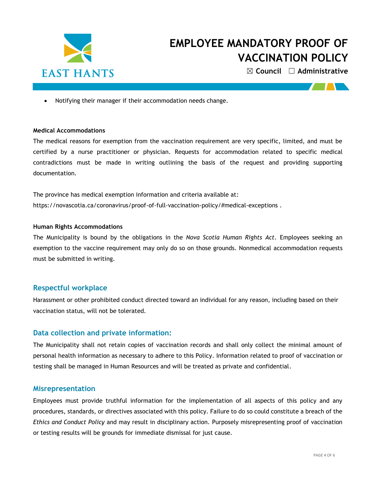

☒ **Council** ☐ **Administrative**

• Notifying their manager if their accommodation needs change.

#### **Medical Accommodations**

The medical reasons for exemption from the vaccination requirement are very specific, limited, and must be certified by a nurse practitioner or physician. Requests for accommodation related to specific medical contradictions must be made in writing outlining the basis of the request and providing supporting documentation.

The province has medical exemption information and criteria available at: <https://novascotia.ca/coronavirus/proof-of-full-vaccination-policy/#medical-exceptions> .

#### **Human Rights Accommodations**

The Municipality is bound by the obligations in the *Nova Scotia Human Rights Act*. Employees seeking an exemption to the vaccine requirement may only do so on those grounds. Nonmedical accommodation requests must be submitted in writing.

#### **Respectful workplace**

Harassment or other prohibited conduct directed toward an individual for any reason, including based on their vaccination status, will not be tolerated.

#### **Data collection and private information:**

The Municipality shall not retain copies of vaccination records and shall only collect the minimal amount of personal health information as necessary to adhere to this Policy. Information related to proof of vaccination or testing shall be managed in Human Resources and will be treated as private and confidential.

#### **Misrepresentation**

Employees must provide truthful information for the implementation of all aspects of this policy and any procedures, standards, or directives associated with this policy. Failure to do so could constitute a breach of the *Ethics and Conduct Policy* and may result in disciplinary action. Purposely misrepresenting proof of vaccination or testing results will be grounds for immediate dismissal for just cause.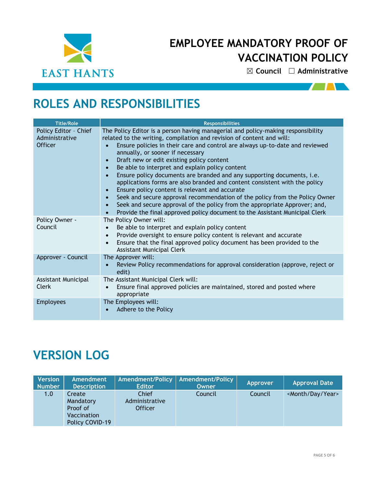

☒ **Council** ☐ **Administrative**

 $\sqrt{2}$ 

# **ROLES AND RESPONSIBILITIES**

| <b>Title/Role</b>                                         | <b>Responsibilities</b>                                                                                                                                                                                                                                                                                                                                                                                                                                                                                                                                                                                                                                                                                                                                                                                                                                                                                                                     |  |  |  |  |
|-----------------------------------------------------------|---------------------------------------------------------------------------------------------------------------------------------------------------------------------------------------------------------------------------------------------------------------------------------------------------------------------------------------------------------------------------------------------------------------------------------------------------------------------------------------------------------------------------------------------------------------------------------------------------------------------------------------------------------------------------------------------------------------------------------------------------------------------------------------------------------------------------------------------------------------------------------------------------------------------------------------------|--|--|--|--|
| Policy Editor - Chief<br>Administrative<br><b>Officer</b> | The Policy Editor is a person having managerial and policy-making responsibility<br>related to the writing, compilation and revision of content and will:<br>Ensure policies in their care and control are always up-to-date and reviewed<br>$\bullet$<br>annually, or sooner if necessary<br>Draft new or edit existing policy content<br>$\bullet$<br>Be able to interpret and explain policy content<br>$\bullet$<br>Ensure policy documents are branded and any supporting documents, i.e.<br>$\bullet$<br>applications forms are also branded and content consistent with the policy<br>Ensure policy content is relevant and accurate<br>$\bullet$<br>Seek and secure approval recommendation of the policy from the Policy Owner<br>$\bullet$<br>Seek and secure approval of the policy from the appropriate Approver; and,<br>$\bullet$<br>Provide the final approved policy document to the Assistant Municipal Clerk<br>$\bullet$ |  |  |  |  |
| Policy Owner -<br>Council                                 | The Policy Owner will:<br>Be able to interpret and explain policy content<br>$\bullet$<br>Provide oversight to ensure policy content is relevant and accurate<br>$\bullet$<br>Ensure that the final approved policy document has been provided to the<br>$\bullet$<br><b>Assistant Municipal Clerk</b>                                                                                                                                                                                                                                                                                                                                                                                                                                                                                                                                                                                                                                      |  |  |  |  |
| Approver - Council                                        | The Approver will:<br>Review Policy recommendations for approval consideration (approve, reject or<br>edit)                                                                                                                                                                                                                                                                                                                                                                                                                                                                                                                                                                                                                                                                                                                                                                                                                                 |  |  |  |  |
| Assistant Municipal<br>Clerk                              | The Assistant Municipal Clerk will:<br>Ensure final approved policies are maintained, stored and posted where<br>$\bullet$<br>appropriate                                                                                                                                                                                                                                                                                                                                                                                                                                                                                                                                                                                                                                                                                                                                                                                                   |  |  |  |  |
| <b>Employees</b>                                          | The Employees will:<br>Adhere to the Policy                                                                                                                                                                                                                                                                                                                                                                                                                                                                                                                                                                                                                                                                                                                                                                                                                                                                                                 |  |  |  |  |

# **VERSION LOG**

| <b>Version</b><br><b>Number</b> | Amendment<br><b>Description</b>                                   | <b>Amendment/Policy</b><br><b>Editor</b>  | <b>Amendment/Policy</b><br>Owner | Approver | <b>Approval Date</b>           |
|---------------------------------|-------------------------------------------------------------------|-------------------------------------------|----------------------------------|----------|--------------------------------|
| 1.0                             | Create<br>Mandatory<br>Proof of<br>Vaccination<br>Policy COVID-19 | Chief<br>Administrative<br><b>Officer</b> | Council                          | Council  | <month day="" year=""></month> |